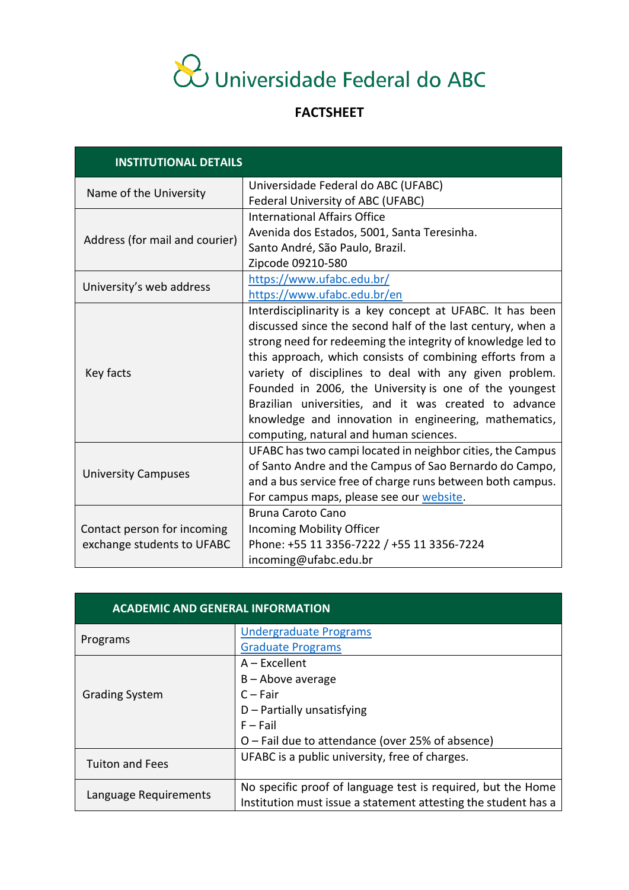## & Universidade Federal do ABC

## **FACTSHEET**

| <b>INSTITUTIONAL DETAILS</b>   |                                                             |
|--------------------------------|-------------------------------------------------------------|
| Name of the University         | Universidade Federal do ABC (UFABC)                         |
|                                | Federal University of ABC (UFABC)                           |
| Address (for mail and courier) | <b>International Affairs Office</b>                         |
|                                | Avenida dos Estados, 5001, Santa Teresinha.                 |
|                                | Santo André, São Paulo, Brazil.                             |
|                                | Zipcode 09210-580                                           |
| University's web address       | https://www.ufabc.edu.br/                                   |
|                                | https://www.ufabc.edu.br/en                                 |
|                                | Interdisciplinarity is a key concept at UFABC. It has been  |
|                                | discussed since the second half of the last century, when a |
|                                | strong need for redeeming the integrity of knowledge led to |
| Key facts                      | this approach, which consists of combining efforts from a   |
|                                | variety of disciplines to deal with any given problem.      |
|                                | Founded in 2006, the University is one of the youngest      |
|                                | Brazilian universities, and it was created to advance       |
|                                | knowledge and innovation in engineering, mathematics,       |
|                                | computing, natural and human sciences.                      |
| <b>University Campuses</b>     | UFABC has two campi located in neighbor cities, the Campus  |
|                                | of Santo Andre and the Campus of Sao Bernardo do Campo,     |
|                                | and a bus service free of charge runs between both campus.  |
|                                | For campus maps, please see our website.                    |
|                                | <b>Bruna Caroto Cano</b>                                    |
| Contact person for incoming    | Incoming Mobility Officer                                   |
| exchange students to UFABC     | Phone: +55 11 3356-7222 / +55 11 3356-7224                  |
|                                | incoming@ufabc.edu.br                                       |

| <b>ACADEMIC AND GENERAL INFORMATION</b> |                                                                                                                                |
|-----------------------------------------|--------------------------------------------------------------------------------------------------------------------------------|
| Programs                                | <b>Undergraduate Programs</b>                                                                                                  |
|                                         | <b>Graduate Programs</b>                                                                                                       |
| <b>Grading System</b>                   | $A - Excellent$                                                                                                                |
|                                         | $B -$ Above average                                                                                                            |
|                                         | $C - Fair$                                                                                                                     |
|                                         | $D$ – Partially unsatisfying                                                                                                   |
|                                         | $F - Fail$                                                                                                                     |
|                                         | O - Fail due to attendance (over 25% of absence)                                                                               |
| <b>Tuiton and Fees</b>                  | UFABC is a public university, free of charges.                                                                                 |
| Language Requirements                   | No specific proof of language test is required, but the Home<br>Institution must issue a statement attesting the student has a |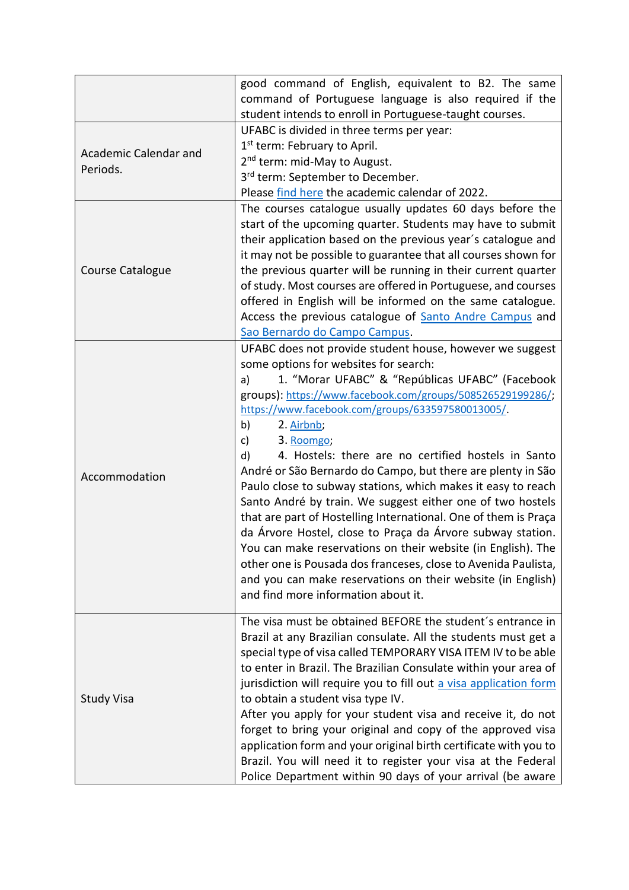|                                   | good command of English, equivalent to B2. The same<br>command of Portuguese language is also required if the<br>student intends to enroll in Portuguese-taught courses.                                                                                                                                                                                                                                                                                                                                                                                                                                                                                                                                                                                                                                                                                                                                                                                |
|-----------------------------------|---------------------------------------------------------------------------------------------------------------------------------------------------------------------------------------------------------------------------------------------------------------------------------------------------------------------------------------------------------------------------------------------------------------------------------------------------------------------------------------------------------------------------------------------------------------------------------------------------------------------------------------------------------------------------------------------------------------------------------------------------------------------------------------------------------------------------------------------------------------------------------------------------------------------------------------------------------|
| Academic Calendar and<br>Periods. | UFABC is divided in three terms per year:<br>1 <sup>st</sup> term: February to April.<br>2 <sup>nd</sup> term: mid-May to August.<br>3rd term: September to December.<br>Please find here the academic calendar of 2022.                                                                                                                                                                                                                                                                                                                                                                                                                                                                                                                                                                                                                                                                                                                                |
| Course Catalogue                  | The courses catalogue usually updates 60 days before the<br>start of the upcoming quarter. Students may have to submit<br>their application based on the previous year's catalogue and<br>it may not be possible to guarantee that all courses shown for<br>the previous quarter will be running in their current quarter<br>of study. Most courses are offered in Portuguese, and courses<br>offered in English will be informed on the same catalogue.<br>Access the previous catalogue of <b>Santo Andre Campus</b> and<br>Sao Bernardo do Campo Campus.                                                                                                                                                                                                                                                                                                                                                                                             |
| Accommodation                     | UFABC does not provide student house, however we suggest<br>some options for websites for search:<br>1. "Morar UFABC" & "Repúblicas UFABC" (Facebook<br>a)<br>groups): https://www.facebook.com/groups/508526529199286/;<br>https://www.facebook.com/groups/633597580013005/<br>b)<br>2. Airbnb;<br>3. Roomgo;<br>c)<br>4. Hostels: there are no certified hostels in Santo<br>d)<br>André or São Bernardo do Campo, but there are plenty in São<br>Paulo close to subway stations, which makes it easy to reach<br>Santo André by train. We suggest either one of two hostels<br>that are part of Hostelling International. One of them is Praça<br>da Árvore Hostel, close to Praça da Árvore subway station.<br>You can make reservations on their website (in English). The<br>other one is Pousada dos franceses, close to Avenida Paulista,<br>and you can make reservations on their website (in English)<br>and find more information about it. |
| <b>Study Visa</b>                 | The visa must be obtained BEFORE the student's entrance in<br>Brazil at any Brazilian consulate. All the students must get a<br>special type of visa called TEMPORARY VISA ITEM IV to be able<br>to enter in Brazil. The Brazilian Consulate within your area of<br>jurisdiction will require you to fill out a visa application form<br>to obtain a student visa type IV.<br>After you apply for your student visa and receive it, do not<br>forget to bring your original and copy of the approved visa<br>application form and your original birth certificate with you to<br>Brazil. You will need it to register your visa at the Federal<br>Police Department within 90 days of your arrival (be aware                                                                                                                                                                                                                                            |